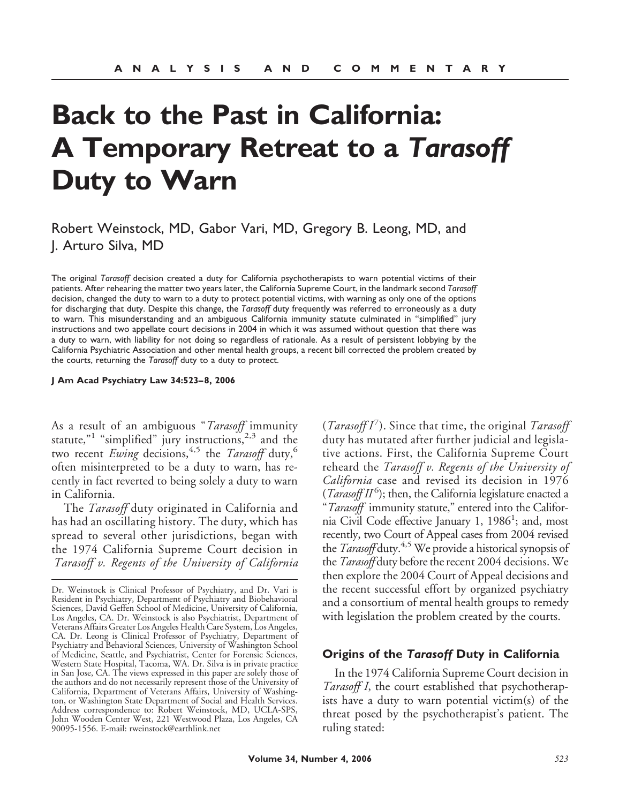# **Back to the Past in California: A Temporary Retreat to a** *Tarasoff* **Duty to Warn**

Robert Weinstock, MD, Gabor Vari, MD, Gregory B. Leong, MD, and J. Arturo Silva, MD

The original *Tarasoff* decision created a duty for California psychotherapists to warn potential victims of their patients. After rehearing the matter two years later, the California Supreme Court, in the landmark second *Tarasoff* decision, changed the duty to warn to a duty to protect potential victims, with warning as only one of the options for discharging that duty. Despite this change, the *Tarasoff* duty frequently was referred to erroneously as a duty to warn. This misunderstanding and an ambiguous California immunity statute culminated in "simplified" jury instructions and two appellate court decisions in 2004 in which it was assumed without question that there was a duty to warn, with liability for not doing so regardless of rationale. As a result of persistent lobbying by the California Psychiatric Association and other mental health groups, a recent bill corrected the problem created by the courts, returning the *Tarasoff* duty to a duty to protect.

**J Am Acad Psychiatry Law 34:523– 8, 2006**

As a result of an ambiguous "*Tarasoff* immunity statute,"<sup>1</sup> "simplified" jury instructions,<sup>2,3</sup> and the two recent *Ewing* decisions,<sup>4,5</sup> the *Tarasoff* duty,<sup>6</sup> often misinterpreted to be a duty to warn, has recently in fact reverted to being solely a duty to warn in California.

The *Tarasoff* duty originated in California and has had an oscillating history. The duty, which has spread to several other jurisdictions, began with the 1974 California Supreme Court decision in *Tarasoff v. Regents of the University of California*

(*TarasoffI*<sup>7</sup>). Since that time, the original *Tarasoff* duty has mutated after further judicial and legislative actions. First, the California Supreme Court reheard the *Tarasoff v. Regents of the University of California* case and revised its decision in 1976 (*Tarasoff II*<sup>6</sup>); then, the California legislature enacted a "*Tarasoff* immunity statute," entered into the California Civil Code effective January 1, 1986<sup>1</sup>; and, most recently, two Court of Appeal cases from 2004 revised the *Tarasoff* duty.4,5 We provide a historical synopsis of the *Tarasoff* duty before the recent 2004 decisions. We then explore the 2004 Court of Appeal decisions and the recent successful effort by organized psychiatry and a consortium of mental health groups to remedy with legislation the problem created by the courts.

#### **Origins of the** *Tarasoff* **Duty in California**

In the 1974 California Supreme Court decision in *Tarasoff I*, the court established that psychotherapists have a duty to warn potential victim(s) of the threat posed by the psychotherapist's patient. The ruling stated:

Dr. Weinstock is Clinical Professor of Psychiatry, and Dr. Vari is Resident in Psychiatry, Department of Psychiatry and Biobehavioral Sciences, David Geffen School of Medicine, University of California, Los Angeles, CA. Dr. Weinstock is also Psychiatrist, Department of Veterans Affairs Greater Los Angeles Health Care System, Los Angeles, CA. Dr. Leong is Clinical Professor of Psychiatry, Department of Psychiatry and Behavioral Sciences, University of Washington School of Medicine, Seattle, and Psychiatrist, Center for Forensic Sciences, Western State Hospital, Tacoma, WA. Dr. Silva is in private practice in San Jose, CA. The views expressed in this paper are solely those of the authors and do not necessarily represent those of the University of California, Department of Veterans Affairs, University of Washington, or Washington State Department of Social and Health Services. Address correspondence to: Robert Weinstock, MD, UCLA-SPS, John Wooden Center West, 221 Westwood Plaza, Los Angeles, CA 90095-1556. E-mail: rweinstock@earthlink.net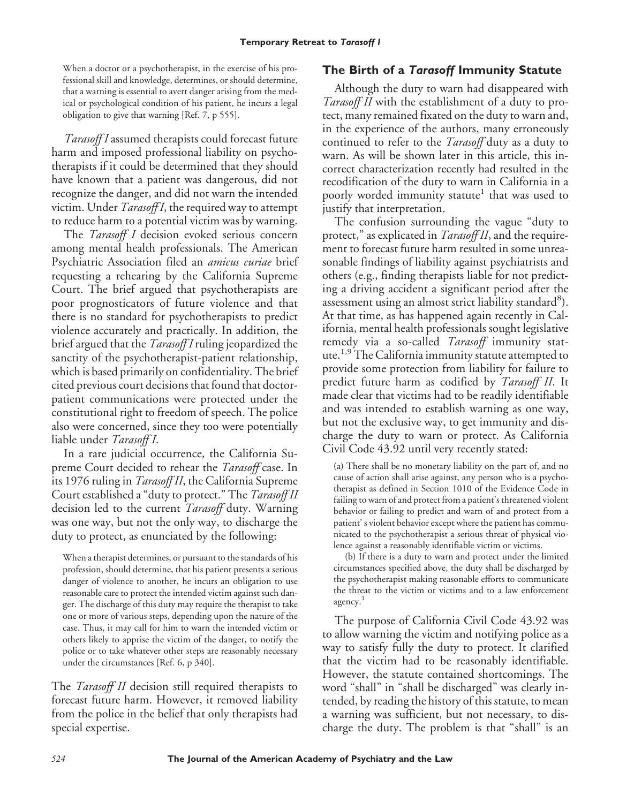When a doctor or a psychotherapist, in the exercise of his professional skill and knowledge, determines, or should determine, that a warning is essential to avert danger arising from the medical or psychological condition of his patient, he incurs a legal obligation to give that warning [Ref. 7, p 555].

*Tarasoff I* assumed therapists could forecast future harm and imposed professional liability on psychotherapists if it could be determined that they should have known that a patient was dangerous, did not recognize the danger, and did not warn the intended victim. Under *Tarasoff I*, the required way to attempt to reduce harm to a potential victim was by warning.

The *Tarasoff I* decision evoked serious concern among mental health professionals. The American Psychiatric Association filed an *amicus curiae* brief requesting a rehearing by the California Supreme Court. The brief argued that psychotherapists are poor prognosticators of future violence and that there is no standard for psychotherapists to predict violence accurately and practically. In addition, the brief argued that the *Tarasoff I* ruling jeopardized the sanctity of the psychotherapist-patient relationship, which is based primarily on confidentiality. The brief cited previous court decisions that found that doctorpatient communications were protected under the constitutional right to freedom of speech. The police also were concerned, since they too were potentially liable under *Tarasoff I*.

In a rare judicial occurrence, the California Supreme Court decided to rehear the *Tarasoff* case. In its 1976 ruling in *Tarasoff II*, the California Supreme Court established a "duty to protect." The *Tarasoff II* decision led to the current *Tarasoff* duty. Warning was one way, but not the only way, to discharge the duty to protect, as enunciated by the following:

When a therapist determines, or pursuant to the standards of his profession, should determine, that his patient presents a serious danger of violence to another, he incurs an obligation to use reasonable care to protect the intended victim against such danger. The discharge of this duty may require the therapist to take one or more of various steps, depending upon the nature of the case. Thus, it may call for him to warn the intended victim or others likely to apprise the victim of the danger, to notify the police or to take whatever other steps are reasonably necessary under the circumstances [Ref. 6, p 340].

The *Tarasoff II* decision still required therapists to forecast future harm. However, it removed liability from the police in the belief that only therapists had special expertise.

### **The Birth of a** *Tarasoff* **Immunity Statute**

Although the duty to warn had disappeared with *Tarasoff II* with the establishment of a duty to protect, many remained fixated on the duty to warn and, in the experience of the authors, many erroneously continued to refer to the *Tarasoff* duty as a duty to warn. As will be shown later in this article, this incorrect characterization recently had resulted in the recodification of the duty to warn in California in a poorly worded immunity statute<sup>1</sup> that was used to justify that interpretation.

The confusion surrounding the vague "duty to protect," as explicated in *Tarasoff II*, and the requirement to forecast future harm resulted in some unreasonable findings of liability against psychiatrists and others (e.g., finding therapists liable for not predicting a driving accident a significant period after the assessment using an almost strict liability standard<sup>8</sup>). At that time, as has happened again recently in California, mental health professionals sought legislative remedy via a so-called *Tarasoff* immunity statute.<sup>1,9</sup>The California immunity statute attempted to provide some protection from liability for failure to predict future harm as codified by *Tarasoff II*. It made clear that victims had to be readily identifiable and was intended to establish warning as one way, but not the exclusive way, to get immunity and discharge the duty to warn or protect. As California Civil Code 43.92 until very recently stated:

(a) There shall be no monetary liability on the part of, and no cause of action shall arise against, any person who is a psychotherapist as defined in Section 1010 of the Evidence Code in failing to warn of and protect from a patient's threatened violent behavior or failing to predict and warn of and protect from a patient' s violent behavior except where the patient has communicated to the psychotherapist a serious threat of physical violence against a reasonably identifiable victim or victims.

(b) If there is a duty to warn and protect under the limited circumstances specified above, the duty shall be discharged by the psychotherapist making reasonable efforts to communicate the threat to the victim or victims and to a law enforcement agency.<sup>1</sup>

The purpose of California Civil Code 43.92 was to allow warning the victim and notifying police as a way to satisfy fully the duty to protect. It clarified that the victim had to be reasonably identifiable. However, the statute contained shortcomings. The word "shall" in "shall be discharged" was clearly intended, by reading the history of this statute, to mean a warning was sufficient, but not necessary, to discharge the duty. The problem is that "shall" is an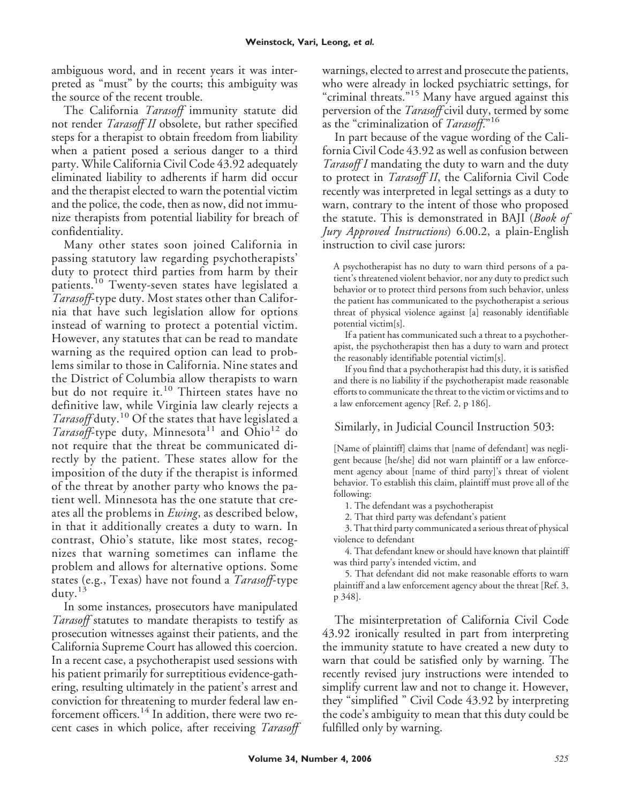ambiguous word, and in recent years it was interpreted as "must" by the courts; this ambiguity was the source of the recent trouble.

The California *Tarasoff* immunity statute did not render *Tarasoff II* obsolete, but rather specified steps for a therapist to obtain freedom from liability when a patient posed a serious danger to a third party. While California Civil Code 43.92 adequately eliminated liability to adherents if harm did occur and the therapist elected to warn the potential victim and the police, the code, then as now, did not immunize therapists from potential liability for breach of confidentiality.

Many other states soon joined California in passing statutory law regarding psychotherapists' duty to protect third parties from harm by their patients.<sup>10</sup> Twenty-seven states have legislated a *Tarasoff*-type duty. Most states other than California that have such legislation allow for options instead of warning to protect a potential victim. However, any statutes that can be read to mandate warning as the required option can lead to problems similar to those in California. Nine states and the District of Columbia allow therapists to warn but do not require it.<sup>10</sup> Thirteen states have no definitive law, while Virginia law clearly rejects a *Tarasoff* duty.<sup>10</sup> Of the states that have legislated a *Tarasoff*-type duty, Minnesota<sup>11</sup> and Ohio<sup>12</sup> do not require that the threat be communicated directly by the patient. These states allow for the imposition of the duty if the therapist is informed of the threat by another party who knows the patient well. Minnesota has the one statute that creates all the problems in *Ewing*, as described below, in that it additionally creates a duty to warn. In contrast, Ohio's statute, like most states, recognizes that warning sometimes can inflame the problem and allows for alternative options. Some states (e.g., Texas) have not found a *Tarasoff*-type  $d$ uty.<sup>13</sup>

In some instances, prosecutors have manipulated *Tarasoff* statutes to mandate therapists to testify as prosecution witnesses against their patients, and the California Supreme Court has allowed this coercion. In a recent case, a psychotherapist used sessions with his patient primarily for surreptitious evidence-gathering, resulting ultimately in the patient's arrest and conviction for threatening to murder federal law enforcement officers.<sup>14</sup> In addition, there were two recent cases in which police, after receiving *Tarasoff* warnings, elected to arrest and prosecute the patients, who were already in locked psychiatric settings, for "criminal threats."<sup>15</sup> Many have argued against this perversion of the *Tarasoff* civil duty, termed by some as the "criminalization of *Tarasoff*."<sup>16</sup>

In part because of the vague wording of the California Civil Code 43.92 as well as confusion between *Tarasoff I* mandating the duty to warn and the duty to protect in *Tarasoff II*, the California Civil Code recently was interpreted in legal settings as a duty to warn, contrary to the intent of those who proposed the statute. This is demonstrated in BAJI (*Book of Jury Approved Instructions*) 6.00.2, a plain-English instruction to civil case jurors:

A psychotherapist has no duty to warn third persons of a patient's threatened violent behavior, nor any duty to predict such behavior or to protect third persons from such behavior, unless the patient has communicated to the psychotherapist a serious threat of physical violence against [a] reasonably identifiable potential victim[s].

If a patient has communicated such a threat to a psychotherapist, the psychotherapist then has a duty to warn and protect the reasonably identifiable potential victim[s].

If you find that a psychotherapist had this duty, it is satisfied and there is no liability if the psychotherapist made reasonable efforts to communicate the threat to the victim or victims and to a law enforcement agency [Ref. 2, p 186].

## Similarly, in Judicial Council Instruction 503:

[Name of plaintiff] claims that [name of defendant] was negligent because [he/she] did not warn plaintiff or a law enforcement agency about [name of third party]'s threat of violent behavior. To establish this claim, plaintiff must prove all of the following:

1. The defendant was a psychotherapist

2. That third party was defendant's patient

3. That third party communicated a serious threat of physical violence to defendant

4. That defendant knew or should have known that plaintiff was third party's intended victim, and

5. That defendant did not make reasonable efforts to warn plaintiff and a law enforcement agency about the threat [Ref. 3, p 348].

The misinterpretation of California Civil Code 43.92 ironically resulted in part from interpreting the immunity statute to have created a new duty to warn that could be satisfied only by warning. The recently revised jury instructions were intended to simplify current law and not to change it. However, they "simplified " Civil Code 43.92 by interpreting the code's ambiguity to mean that this duty could be fulfilled only by warning.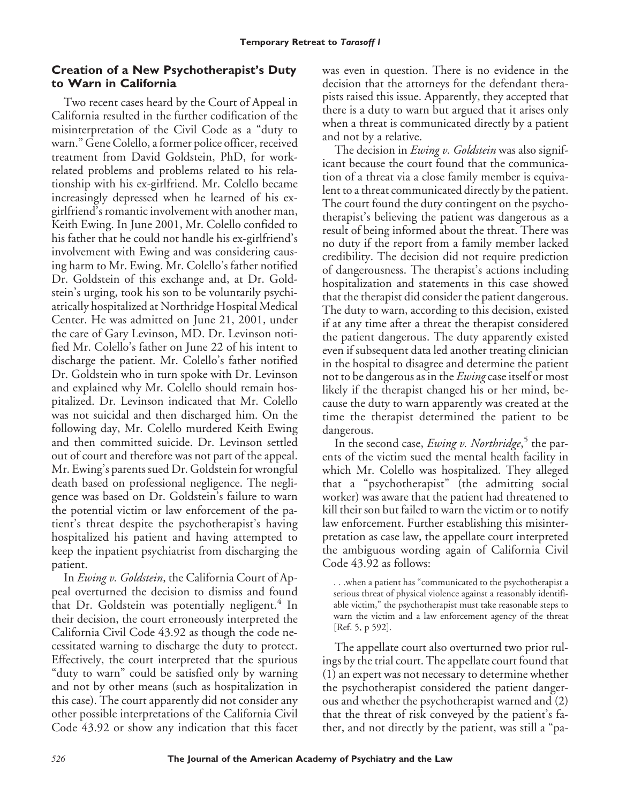## **Creation of a New Psychotherapist's Duty to Warn in California**

Two recent cases heard by the Court of Appeal in California resulted in the further codification of the misinterpretation of the Civil Code as a "duty to warn." Gene Colello, a former police officer, received treatment from David Goldstein, PhD, for workrelated problems and problems related to his relationship with his ex-girlfriend. Mr. Colello became increasingly depressed when he learned of his exgirlfriend's romantic involvement with another man, Keith Ewing. In June 2001, Mr. Colello confided to his father that he could not handle his ex-girlfriend's involvement with Ewing and was considering causing harm to Mr. Ewing. Mr. Colello's father notified Dr. Goldstein of this exchange and, at Dr. Goldstein's urging, took his son to be voluntarily psychiatrically hospitalized at Northridge Hospital Medical Center. He was admitted on June 21, 2001, under the care of Gary Levinson, MD. Dr. Levinson notified Mr. Colello's father on June 22 of his intent to discharge the patient. Mr. Colello's father notified Dr. Goldstein who in turn spoke with Dr. Levinson and explained why Mr. Colello should remain hospitalized. Dr. Levinson indicated that Mr. Colello was not suicidal and then discharged him. On the following day, Mr. Colello murdered Keith Ewing and then committed suicide. Dr. Levinson settled out of court and therefore was not part of the appeal. Mr. Ewing's parents sued Dr. Goldstein for wrongful death based on professional negligence. The negligence was based on Dr. Goldstein's failure to warn the potential victim or law enforcement of the patient's threat despite the psychotherapist's having hospitalized his patient and having attempted to keep the inpatient psychiatrist from discharging the patient.

In *Ewing v. Goldstein*, the California Court of Appeal overturned the decision to dismiss and found that Dr. Goldstein was potentially negligent.<sup>4</sup> In their decision, the court erroneously interpreted the California Civil Code 43.92 as though the code necessitated warning to discharge the duty to protect. Effectively, the court interpreted that the spurious "duty to warn" could be satisfied only by warning and not by other means (such as hospitalization in this case). The court apparently did not consider any other possible interpretations of the California Civil Code 43.92 or show any indication that this facet

was even in question. There is no evidence in the decision that the attorneys for the defendant therapists raised this issue. Apparently, they accepted that there is a duty to warn but argued that it arises only when a threat is communicated directly by a patient and not by a relative.

The decision in *Ewing v. Goldstein* was also significant because the court found that the communication of a threat via a close family member is equivalent to a threat communicated directly by the patient. The court found the duty contingent on the psychotherapist's believing the patient was dangerous as a result of being informed about the threat. There was no duty if the report from a family member lacked credibility. The decision did not require prediction of dangerousness. The therapist's actions including hospitalization and statements in this case showed that the therapist did consider the patient dangerous. The duty to warn, according to this decision, existed if at any time after a threat the therapist considered the patient dangerous. The duty apparently existed even if subsequent data led another treating clinician in the hospital to disagree and determine the patient not to be dangerous as in the *Ewing* case itself or most likely if the therapist changed his or her mind, because the duty to warn apparently was created at the time the therapist determined the patient to be dangerous.

In the second case, *Ewing v. Northridge*, <sup>5</sup> the parents of the victim sued the mental health facility in which Mr. Colello was hospitalized. They alleged that a "psychotherapist" (the admitting social worker) was aware that the patient had threatened to kill their son but failed to warn the victim or to notify law enforcement. Further establishing this misinterpretation as case law, the appellate court interpreted the ambiguous wording again of California Civil Code 43.92 as follows:

. . .when a patient has "communicated to the psychotherapist a serious threat of physical violence against a reasonably identifiable victim," the psychotherapist must take reasonable steps to warn the victim and a law enforcement agency of the threat [Ref. 5, p 592].

The appellate court also overturned two prior rulings by the trial court. The appellate court found that (1) an expert was not necessary to determine whether the psychotherapist considered the patient dangerous and whether the psychotherapist warned and (2) that the threat of risk conveyed by the patient's father, and not directly by the patient, was still a "pa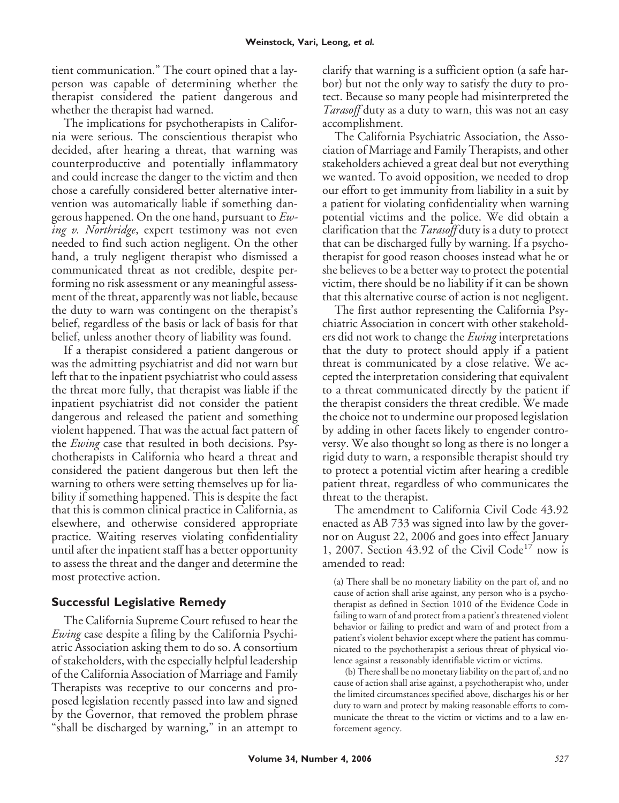tient communication." The court opined that a layperson was capable of determining whether the therapist considered the patient dangerous and whether the therapist had warned.

The implications for psychotherapists in California were serious. The conscientious therapist who decided, after hearing a threat, that warning was counterproductive and potentially inflammatory and could increase the danger to the victim and then chose a carefully considered better alternative intervention was automatically liable if something dangerous happened. On the one hand, pursuant to *Ewing v. Northridge*, expert testimony was not even needed to find such action negligent. On the other hand, a truly negligent therapist who dismissed a communicated threat as not credible, despite performing no risk assessment or any meaningful assessment of the threat, apparently was not liable, because the duty to warn was contingent on the therapist's belief, regardless of the basis or lack of basis for that belief, unless another theory of liability was found.

If a therapist considered a patient dangerous or was the admitting psychiatrist and did not warn but left that to the inpatient psychiatrist who could assess the threat more fully, that therapist was liable if the inpatient psychiatrist did not consider the patient dangerous and released the patient and something violent happened. That was the actual fact pattern of the *Ewing* case that resulted in both decisions. Psychotherapists in California who heard a threat and considered the patient dangerous but then left the warning to others were setting themselves up for liability if something happened. This is despite the fact that this is common clinical practice in California, as elsewhere, and otherwise considered appropriate practice. Waiting reserves violating confidentiality until after the inpatient staff has a better opportunity to assess the threat and the danger and determine the most protective action.

## **Successful Legislative Remedy**

The California Supreme Court refused to hear the *Ewing* case despite a filing by the California Psychiatric Association asking them to do so. A consortium of stakeholders, with the especially helpful leadership of the California Association of Marriage and Family Therapists was receptive to our concerns and proposed legislation recently passed into law and signed by the Governor, that removed the problem phrase "shall be discharged by warning," in an attempt to

clarify that warning is a sufficient option (a safe harbor) but not the only way to satisfy the duty to protect. Because so many people had misinterpreted the *Tarasoff* duty as a duty to warn, this was not an easy accomplishment.

The California Psychiatric Association, the Association of Marriage and Family Therapists, and other stakeholders achieved a great deal but not everything we wanted. To avoid opposition, we needed to drop our effort to get immunity from liability in a suit by a patient for violating confidentiality when warning potential victims and the police. We did obtain a clarification that the *Tarasoff* duty is a duty to protect that can be discharged fully by warning. If a psychotherapist for good reason chooses instead what he or she believes to be a better way to protect the potential victim, there should be no liability if it can be shown that this alternative course of action is not negligent.

The first author representing the California Psychiatric Association in concert with other stakeholders did not work to change the *Ewing* interpretations that the duty to protect should apply if a patient threat is communicated by a close relative. We accepted the interpretation considering that equivalent to a threat communicated directly by the patient if the therapist considers the threat credible. We made the choice not to undermine our proposed legislation by adding in other facets likely to engender controversy. We also thought so long as there is no longer a rigid duty to warn, a responsible therapist should try to protect a potential victim after hearing a credible patient threat, regardless of who communicates the threat to the therapist.

The amendment to California Civil Code 43.92 enacted as AB 733 was signed into law by the governor on August 22, 2006 and goes into effect January 1, 2007. Section 43.92 of the Civil Code<sup>17</sup> now is amended to read:

(a) There shall be no monetary liability on the part of, and no cause of action shall arise against, any person who is a psychotherapist as defined in Section 1010 of the Evidence Code in failing to warn of and protect from a patient's threatened violent behavior or failing to predict and warn of and protect from a patient's violent behavior except where the patient has communicated to the psychotherapist a serious threat of physical violence against a reasonably identifiable victim or victims.

(b) There shall be no monetary liability on the part of, and no cause of action shall arise against, a psychotherapist who, under the limited circumstances specified above, discharges his or her duty to warn and protect by making reasonable efforts to communicate the threat to the victim or victims and to a law enforcement agency.